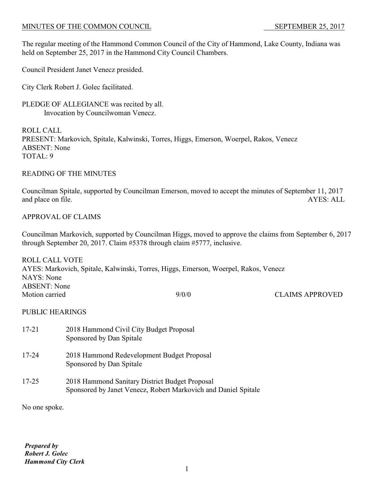The regular meeting of the Hammond Common Council of the City of Hammond, Lake County, Indiana was held on September 25, 2017 in the Hammond City Council Chambers.

Council President Janet Venecz presided.

City Clerk Robert J. Golec facilitated.

PLEDGE OF ALLEGIANCE was recited by all. Invocation by Councilwoman Venecz.

ROLL CALL PRESENT: Markovich, Spitale, Kalwinski, Torres, Higgs, Emerson, Woerpel, Rakos, Venecz ABSENT: None TOTAL: 9

# READING OF THE MINUTES

Councilman Spitale, supported by Councilman Emerson, moved to accept the minutes of September 11, 2017 and place on file. AYES: ALL

# APPROVAL OF CLAIMS

Councilman Markovich, supported by Councilman Higgs, moved to approve the claims from September 6, 2017 through September 20, 2017. Claim #5378 through claim #5777, inclusive.

ROLL CALL VOTE AYES: Markovich, Spitale, Kalwinski, Torres, Higgs, Emerson, Woerpel, Rakos, Venecz NAYS: None ABSENT: None Motion carried 9/0/0 CLAIMS APPROVED

# PUBLIC HEARINGS

| $17 - 21$ | 2018 Hammond Civil City Budget Proposal<br>Sponsored by Dan Spitale                                              |
|-----------|------------------------------------------------------------------------------------------------------------------|
| 17-24     | 2018 Hammond Redevelopment Budget Proposal<br>Sponsored by Dan Spitale                                           |
| $17 - 25$ | 2018 Hammond Sanitary District Budget Proposal<br>Sponsored by Janet Venecz, Robert Markovich and Daniel Spitale |

No one spoke.

*Prepared by Robert J. Golec Hammond City Clerk*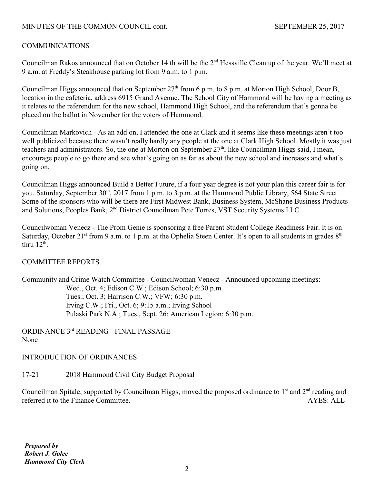# COMMUNICATIONS

Councilman Rakos announced that on October 14 th will be the 2<sup>nd</sup> Hessville Clean up of the year. We'll meet at 9 a.m. at Freddy's Steakhouse parking lot from 9 a.m. to 1 p.m.

Councilman Higgs announced that on September  $27<sup>th</sup>$  from 6 p.m. to 8 p.m. at Morton High School, Door B, location in the cafeteria, address 6915 Grand Avenue. The School City of Hammond will be having a meeting as it relates to the referendum for the new school, Hammond High School, and the referendum that's gonna be placed on the ballot in November for the voters of Hammond.

Councilman Markovich - As an add on, I attended the one at Clark and it seems like these meetings aren't too well publicized because there wasn't really hardly any people at the one at Clark High School. Mostly it was just teachers and administrators. So, the one at Morton on September  $27<sup>th</sup>$ , like Councilman Higgs said, I mean, encourage people to go there and see what's going on as far as about the new school and increases and what's going on.

Councilman Higgs announced Build a Better Future, if a four year degree is not your plan this career fair is for you. Saturday, September 30<sup>th</sup>, 2017 from 1 p.m. to 3 p.m. at the Hammond Public Library, 564 State Street. Some of the sponsors who will be there are First Midwest Bank, Business System, McShane Business Products and Solutions, Peoples Bank, 2<sup>nd</sup> District Councilman Pete Torres, VST Security Systems LLC.

Councilwoman Venecz - The Prom Genie is sponsoring a free Parent Student College Readiness Fair. It is on Saturday, October 21<sup>st</sup> from 9 a.m. to 1 p.m. at the Ophelia Steen Center. It's open to all students in grades  $8<sup>th</sup>$ thru  $12<sup>th</sup>$ .

# COMMITTEE REPORTS

Community and Crime Watch Committee - Councilwoman Venecz - Announced upcoming meetings: Wed., Oct. 4; Edison C.W.; Edison School; 6:30 p.m. Tues.; Oct. 3; Harrison C.W.; VFW; 6:30 p.m. Irving C.W.; Fri., Oct. 6; 9:15 a.m.; Irving School Pulaski Park N.A.; Tues., Sept. 26; American Legion; 6:30 p.m.

ORDINANCE 3<sup>rd</sup> READING - FINAL PASSAGE None

INTRODUCTION OF ORDINANCES

17-21 2018 Hammond Civil City Budget Proposal

Councilman Spitale, supported by Councilman Higgs, moved the proposed ordinance to  $1<sup>st</sup>$  and  $2<sup>nd</sup>$  reading and referred it to the Finance Committee. AYES: ALL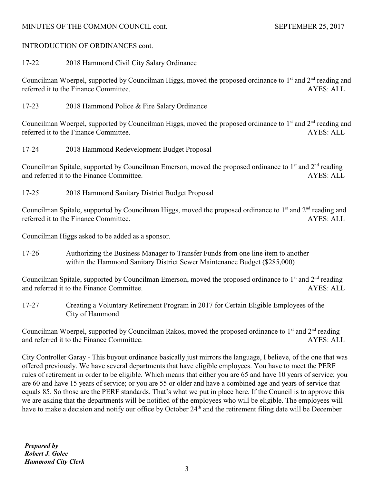# INTRODUCTION OF ORDINANCES cont.

17-22 2018 Hammond Civil City Salary Ordinance

Councilman Woerpel, supported by Councilman Higgs, moved the proposed ordinance to  $1<sup>st</sup>$  and  $2<sup>nd</sup>$  reading and referred it to the Finance Committee. AYES: ALL

17-23 2018 Hammond Police & Fire Salary Ordinance

Councilman Woerpel, supported by Councilman Higgs, moved the proposed ordinance to  $1<sup>st</sup>$  and  $2<sup>nd</sup>$  reading and referred it to the Finance Committee. AYES: ALL

17-24 2018 Hammond Redevelopment Budget Proposal

Councilman Spitale, supported by Councilman Emerson, moved the proposed ordinance to  $1<sup>st</sup>$  and  $2<sup>nd</sup>$  reading and referred it to the Finance Committee. AYES: ALL

17-25 2018 Hammond Sanitary District Budget Proposal

Councilman Spitale, supported by Councilman Higgs, moved the proposed ordinance to 1<sup>st</sup> and 2<sup>nd</sup> reading and referred it to the Finance Committee. AYES: ALL

Councilman Higgs asked to be added as a sponsor.

17-26 Authorizing the Business Manager to Transfer Funds from one line item to another within the Hammond Sanitary District Sewer Maintenance Budget (\$285,000)

Councilman Spitale, supported by Councilman Emerson, moved the proposed ordinance to  $1<sup>st</sup>$  and  $2<sup>nd</sup>$  reading and referred it to the Finance Committee. AYES: ALL

17-27 Creating a Voluntary Retirement Program in 2017 for Certain Eligible Employees of the City of Hammond

Councilman Woerpel, supported by Councilman Rakos, moved the proposed ordinance to 1<sup>st</sup> and 2<sup>nd</sup> reading and referred it to the Finance Committee. AYES: ALL

City Controller Garay - This buyout ordinance basically just mirrors the language, I believe, of the one that was offered previously. We have several departments that have eligible employees. You have to meet the PERF rules of retirement in order to be eligible. Which means that either you are 65 and have 10 years of service; you are 60 and have 15 years of service; or you are 55 or older and have a combined age and years of service that equals 85. So those are the PERF standards. That's what we put in place here. If the Council is to approve this we are asking that the departments will be notified of the employees who will be eligible. The employees will have to make a decision and notify our office by October 24<sup>th</sup> and the retirement filing date will be December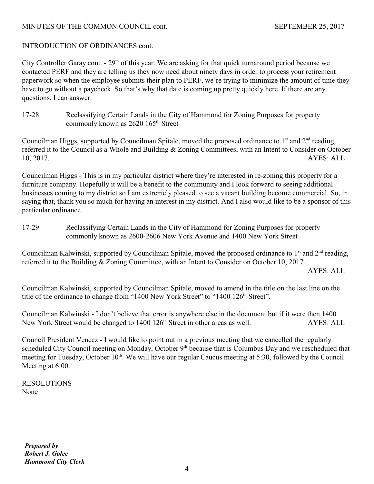# INTRODUCTION OF ORDINANCES cont.

City Controller Garay cont. -  $29<sup>th</sup>$  of this year. We are asking for that quick turnaround period because we contacted PERF and they are telling us they now need about ninety days in order to process your retirement paperwork so when the employee submits their plan to PERF, we're trying to minimize the amount of time they have to go without a paycheck. So that's why that date is coming up pretty quickly here. If there are any questions, I can answer.

17-28 Reclassifying Certain Lands in the City of Hammond for Zoning Purposes for property commonly known as  $2620$   $165<sup>th</sup>$  Street

Councilman Higgs, supported by Councilman Spitale, moved the proposed ordinance to  $1<sup>st</sup>$  and  $2<sup>nd</sup>$  reading, referred it to the Council as a Whole and Building & Zoning Committees, with an Intent to Consider on October 10, 2017. AYES: ALL

Councilman Higgs - This is in my particular district where they're interested in re-zoning this property for a furniture company. Hopefully it will be a benefit to the community and I look forward to seeing additional businesses coming to my district so I am extremely pleased to see a vacant building become commercial. So, in saying that, thank you so much for having an interest in my district. And I also would like to be a sponsor of this particular ordinance.

17-29 Reclassifying Certain Lands in the City of Hammond for Zoning Purposes for property commonly known as 2600-2606 New York Avenue and 1400 New York Street

Councilman Kalwinski, supported by Councilman Spitale, moved the proposed ordinance to  $1<sup>st</sup>$  and  $2<sup>nd</sup>$  reading, referred it to the Building & Zoning Committee, with an Intent to Consider on October 10, 2017.

AYES: ALL

Councilman Kalwinski, supported by Councilman Spitale, moved to amend in the title on the last line on the title of the ordinance to change from "1400 New York Street" to "1400  $126<sup>th</sup>$  Street".

Councilman Kalwinski - I don't believe that error is anywhere else in the document but if it were then 1400 New York Street would be changed to 1400 126<sup>th</sup> Street in other areas as well. AYES: ALL

Council President Venecz - I would like to point out in a previous meeting that we cancelled the regularly scheduled City Council meeting on Monday, October 9<sup>th</sup> because that is Columbus Day and we rescheduled that meeting for Tuesday, October  $10<sup>th</sup>$ . We will have our regular Caucus meeting at 5:30, followed by the Council Meeting at 6:00.

**RESOLUTIONS** None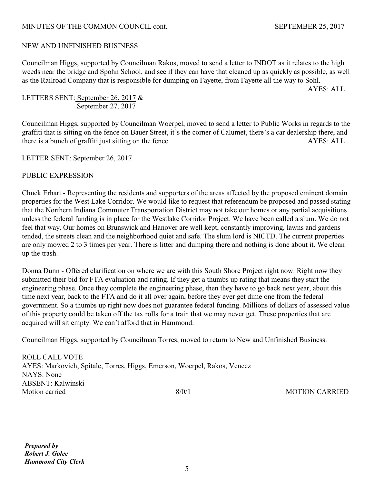# NEW AND UNFINISHED BUSINESS

Councilman Higgs, supported by Councilman Rakos, moved to send a letter to INDOT as it relates to the high weeds near the bridge and Spohn School, and see if they can have that cleaned up as quickly as possible, as well as the Railroad Company that is responsible for dumping on Fayette, from Fayette all the way to Sohl.

AYES: ALL

# LETTERS SENT: September 26, 2017 & September 27, 2017

Councilman Higgs, supported by Councilman Woerpel, moved to send a letter to Public Works in regards to the graffiti that is sitting on the fence on Bauer Street, it's the corner of Calumet, there's a car dealership there, and there is a bunch of graffiti just sitting on the fence. AYES: ALL

### LETTER SENT: September 26, 2017

### PUBLIC EXPRESSION

Chuck Erhart - Representing the residents and supporters of the areas affected by the proposed eminent domain properties for the West Lake Corridor. We would like to request that referendum be proposed and passed stating that the Northern Indiana Commuter Transportation District may not take our homes or any partial acquisitions unless the federal funding is in place for the Westlake Corridor Project. We have been called a slum. We do not feel that way. Our homes on Brunswick and Hanover are well kept, constantly improving, lawns and gardens tended, the streets clean and the neighborhood quiet and safe. The slum lord is NICTD. The current properties are only mowed 2 to 3 times per year. There is litter and dumping there and nothing is done about it. We clean up the trash.

Donna Dunn - Offered clarification on where we are with this South Shore Project right now. Right now they submitted their bid for FTA evaluation and rating. If they get a thumbs up rating that means they start the engineering phase. Once they complete the engineering phase, then they have to go back next year, about this time next year, back to the FTA and do it all over again, before they ever get dime one from the federal government. So a thumbs up right now does not guarantee federal funding. Millions of dollars of assessed value of this property could be taken off the tax rolls for a train that we may never get. These properties that are acquired will sit empty. We can't afford that in Hammond.

Councilman Higgs, supported by Councilman Torres, moved to return to New and Unfinished Business.

ROLL CALL VOTE AYES: Markovich, Spitale, Torres, Higgs, Emerson, Woerpel, Rakos, Venecz NAYS: None ABSENT: Kalwinski Motion carried and the state of the state and the state of the state of the MOTION CARRIED

*Prepared by Robert J. Golec Hammond City Clerk*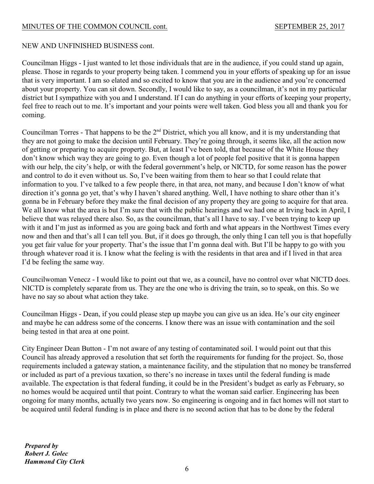# NEW AND UNFINISHED BUSINESS cont.

Councilman Higgs - I just wanted to let those individuals that are in the audience, if you could stand up again, please. Those in regards to your property being taken. I commend you in your efforts of speaking up for an issue that is very important. I am so elated and so excited to know that you are in the audience and you're concerned about your property. You can sit down. Secondly, I would like to say, as a councilman, it's not in my particular district but I sympathize with you and I understand. If I can do anything in your efforts of keeping your property, feel free to reach out to me. It's important and your points were well taken. God bless you all and thank you for coming.

Councilman Torres - That happens to be the  $2<sup>nd</sup>$  District, which you all know, and it is my understanding that they are not going to make the decision until February. They're going through, it seems like, all the action now of getting or preparing to acquire property. But, at least I've been told, that because of the White House they don't know which way they are going to go. Even though a lot of people feel positive that it is gonna happen with our help, the city's help, or with the federal government's help, or NICTD, for some reason has the power and control to do it even without us. So, I've been waiting from them to hear so that I could relate that information to you. I've talked to a few people there, in that area, not many, and because I don't know of what direction it's gonna go yet, that's why I haven't shared anything. Well, I have nothing to share other than it's gonna be in February before they make the final decision of any property they are going to acquire for that area. We all know what the area is but I'm sure that with the public hearings and we had one at Irving back in April, I believe that was relayed there also. So, as the councilman, that's all I have to say. I've been trying to keep up with it and I'm just as informed as you are going back and forth and what appears in the Northwest Times every now and then and that's all I can tell you. But, if it does go through, the only thing I can tell you is that hopefully you get fair value for your property. That's the issue that I'm gonna deal with. But I'll be happy to go with you through whatever road it is. I know what the feeling is with the residents in that area and if I lived in that area I'd be feeling the same way.

Councilwoman Venecz - I would like to point out that we, as a council, have no control over what NICTD does. NICTD is completely separate from us. They are the one who is driving the train, so to speak, on this. So we have no say so about what action they take.

Councilman Higgs - Dean, if you could please step up maybe you can give us an idea. He's our city engineer and maybe he can address some of the concerns. I know there was an issue with contamination and the soil being tested in that area at one point.

City Engineer Dean Button - I'm not aware of any testing of contaminated soil. I would point out that this Council has already approved a resolution that set forth the requirements for funding for the project. So, those requirements included a gateway station, a maintenance facility, and the stipulation that no money be transferred or included as part of a previous taxation, so there's no increase in taxes until the federal funding is made available. The expectation is that federal funding, it could be in the President's budget as early as February, so no homes would be acquired until that point. Contrary to what the woman said earlier. Engineering has been ongoing for many months, actually two years now. So engineering is ongoing and in fact homes will not start to be acquired until federal funding is in place and there is no second action that has to be done by the federal

*Prepared by Robert J. Golec Hammond City Clerk*